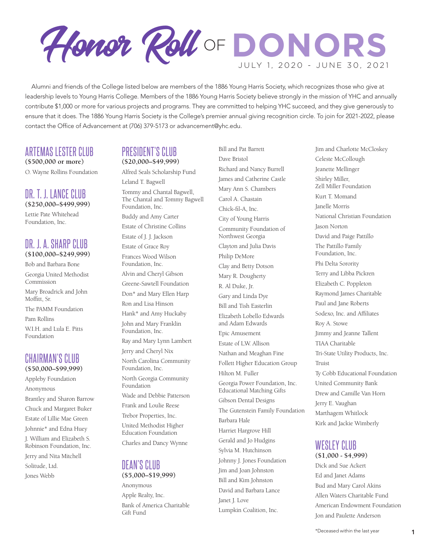

Alumni and friends of the College listed below are members of the 1886 Young Harris Society, which recognizes those who give at leadership levels to Young Harris College. Members of the 1886 Young Harris Society believe strongly in the mission of YHC and annually contribute \$1,000 or more for various projects and programs. They are committed to helping YHC succeed, and they give generously to ensure that it does. The 1886 Young Harris Society is the College's premier annual giving recognition circle. To join for 2021-2022, please contact the Office of Advancement at (706) 379-5173 or advancement@yhc.edu.

#### ARTEMAS LESTER CLUB **(\$500,000 or more)**

O. Wayne Rollins Foundation

### DR. T. J. LANCE CLUB **(\$250,000–\$499,999)**

Lettie Pate Whitehead Foundation, Inc.

## DR. J. A. SHARP CLUB **(\$100,000–\$249,999)**

Bob and Barbara Bone Georgia United Methodist Commission

Mary Broadrick and John Moffitt, Sr.

The PAMM Foundation

Pam Rollins

W.I.H. and Lula E. Pitts Foundation

# CHAIRMAN'S CLUB **(\$50,000–\$99,999)**

Appleby Foundation Anonymous Brantley and Sharon Barrow Chuck and Margaret Buker Estate of Lillie Mae Green Johnnie\* and Edna Huey J. William and Elizabeth S. Robinson Foundation, Inc. Jerry and Nita Mitchell Solitude, Ltd. Jones Webb

# PRESIDENT'S CLUB **(\$20,000–\$49,999)**

Alfred Seals Scholarship Fund Leland T. Bagwell

Tommy and Chantal Bagwell, The Chantal and Tommy Bagwell Foundation, Inc. Buddy and Amy Carter Estate of Christine Collins Estate of J. J. Jackson Estate of Grace Roy

Frances Wood Wilson Foundation, Inc. Alvin and Cheryl Gibson Greene-Sawtell Foundation Don\* and Mary Ellen Harp Ron and Lisa Hinson Hank\* and Amy Huckaby John and Mary Franklin Foundation, Inc. Ray and Mary Lynn Lambert Jerry and Cheryl Nix North Carolina Community Foundation, Inc. North Georgia Community Foundation Wade and Debbie Patterson Frank and Loulie Reese Trebor Properties, Inc. United Methodist Higher Education Foundation Charles and Dancy Wynne

## DEAN'S CLUB **(\$5,000–\$19,999)**

Anonymous Apple Realty, Inc. Bank of America Charitable Gift Fund

Bill and Pat Barrett Dave Bristol Richard and Nancy Burrell James and Catherine Castle Mary Ann S. Chambers Carol A. Chastain Chick-fil-A, Inc. City of Young Harris Community Foundation of Northwest Georgia Clayton and Julia Davis Philip DeMore Clay and Betty Dotson Mary R. Dougherty R. Al Duke, Jr. Gary and Linda Dye Bill and Tish Easterlin Elizabeth Lobello Edwards and Adam Edwards Epic Amusement Estate of L.W. Allison Nathan and Meaghan Fine Follett Higher Education Group Hilton M. Fuller Georgia Power Foundation, Inc. Educational Matching Gifts Gibson Dental Designs The Gutenstein Family Foundation Barbara Hale Harriet Hargrove Hill Gerald and Jo Hudgins Sylvia M. Hutchinson Johnny J. Jones Foundation Jim and Joan Johnston Bill and Kim Johnston David and Barbara Lance Janet J. Love Lumpkin Coalition, Inc.

Jim and Charlotte McCloskey Celeste McCollough Jeanette Mellinger Shirley Miller, Zell Miller Foundation Kurt T. Momand Janelle Morris National Christian Foundation Jason Norton David and Paige Pattillo The Pattillo Family Foundation, Inc. Phi Delta Sorority Terry and Libba Pickren Elizabeth C. Poppleton Raymond James Charitable Paul and Jane Roberts Sodexo, Inc. and Affiliates Roy A. Stowe Jimmy and Jeanne Tallent TIAA Charitable Tri-State Utility Products, Inc. Truist Ty Cobb Educational Foundation United Community Bank Drew and Camille Van Horn Jerry E. Vaughan Marthagem Whitlock Kirk and Jackie Wimberly

## WESLEY CLUB **(\$1,000 - \$4,999)**

Dick and Sue Ackert Ed and Janet Adams Bud and Mary Carol Akins Allen Waters Charitable Fund American Endowment Foundation Jon and Paulette Anderson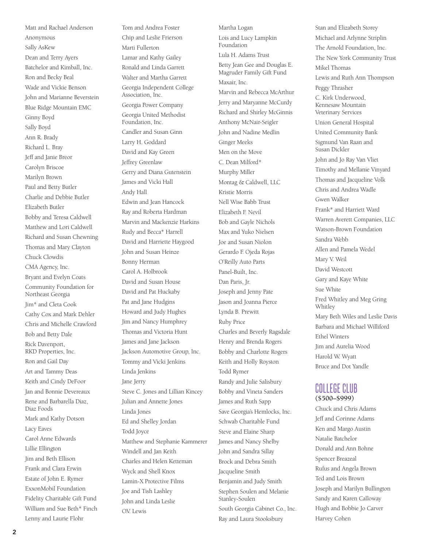Matt and Rachael Anderson Anonymous Sally AsKew Dean and Terry Ayers Batchelor and Kimball, Inc. Ron and Becky Beal Wade and Vickie Benson John and Marianne Beverstein Blue Ridge Mountain EMC Ginny Boyd Sally Boyd Ann R. Brady Richard L. Bray Jeff and Janie Breor Carolyn Briscoe Marilyn Brown Paul and Betty Butler Charlie and Debbie Butler Elizabeth Butler Bobby and Teresa Caldwell Matthew and Lori Caldwell Richard and Susan Chewning Thomas and Mary Clayton Chuck Clowdis CMA Agency, Inc. Bryant and Evelyn Coats Community Foundation for Northeast Georgia Jim\* and Cleta Cook Cathy Cox and Mark Dehler Chris and Michelle Crawford Bob and Betty Dale Rick Davenport, RKD Properties, Inc. Ron and Gail Day Art and Tammy Deas Keith and Cindy DeFoor Jan and Bonnie Devereaux Rene and Barbarella Diaz, Diaz Foods Mark and Kathy Dotson Lacy Eaves Carol Anne Edwards Lillie Ellington Jim and Beth Ellison Frank and Clara Erwin Estate of John E. Rymer ExxonMobil Foundation Fidelity Charitable Gift Fund William and Sue Beth\* Finch Lenny and Laurie Flohr

Tom and Andrea Foster Chip and Leslie Frierson Marti Fullerton Lamar and Kathy Gailey Ronald and Linda Garrett Walter and Martha Garrett Georgia Independent College Association, Inc. Georgia Power Company Georgia United Methodist Foundation, Inc. Candler and Susan Ginn Larry H. Goddard David and Kay Green Jeffrey Greenlaw Gerry and Diana Gutenstein James and Vicki Hall Andy Hall Edwin and Jean Hancock Ray and Roberta Hardman Marvin and Mackenzie Harkins Rudy and Becca\* Harrell David and Harriette Haygood John and Susan Heinze Bonny Herman Carol A. Holbrook David and Susan House David and Pat Huckaby Pat and Jane Hudgins Howard and Judy Hughes Jim and Nancy Humphrey Thomas and Victoria Hunt James and Jane Jackson Jackson Automotive Group, Inc. Tommy and Vicki Jenkins Linda Jenkins Jane Jerry Steve C. Jones and Lillian Kincey Julian and Annette Jones Linda Jones Ed and Shelley Jordan Todd Joyce Matthew and Stephanie Kammerer Windell and Jan Keith Charles and Helen Ketteman Wyck and Shell Knox Lamin-X Protective Films Joe and Tish Lashley John and Linda Leslie O.V. Lewis

Martha Logan Lois and Lucy Lampkin Foundation Lula H. Adams Trust Betty Jean Gee and Douglas E. Magruder Family Gift Fund Maxair, Inc. Marvin and Rebecca McArthur Jerry and Maryanne McCurdy Richard and Shirley McGinnis Anthony McNair-Seigler John and Nadine Medlin Ginger Meeks Men on the Move C. Dean Milford\* Murphy Miller Montag & Caldwell, LLC Kristie Morris Nell Wise Babb Trust Elizabeth F. Nevil Bob and Gayle Nichols Max and Yuko Nielsen Joe and Susan Niolon Gerardo F. Ojeda Rojas O'Reilly Auto Parts Panel-Built, Inc. Dan Paris, Jr. Joseph and Jenny Pate Jason and Joanna Pierce Lynda B. Prewitt Ruby Price Charles and Beverly Ragsdale Henry and Brenda Rogers Bobby and Charlotte Rogers Keith and Holly Royston Todd Rymer Randy and Julie Salisbury Bobby and Vineta Sanders James and Ruth Sapp Save Georgia's Hemlocks, Inc. Schwab Charitable Fund Steve and Elaine Sharp James and Nancy Shelby John and Sandra Sillay Brock and Debra Smith Jacqueline Smith Benjamin and Judy Smith Stephen Soulen and Melanie Stanley-Soulen South Georgia Cabinet Co., Inc. Ray and Laura Stooksbury

Stan and Elizabeth Storey Michael and Arlynne Striplin The Arnold Foundation, Inc. The New York Community Trust Mikel Thomas Lewis and Ruth Ann Thompson Peggy Thrasher C. Kirk Underwood, Kennesaw Mountain Veterinary Services Union General Hospital United Community Bank Sigmund Van Raan and Susan Dickler John and Jo Ray Van Vliet Timothy and Mellanie Vinyard Thomas and Jacqueline Volk Chris and Andrea Wadle Gwen Walker Frank\* and Harriett Ward Warren Averett Companies, LLC Watson-Brown Foundation Sandra Webb Allen and Pamela Wedel Mary V. Weil David Westcott Gary and Kaye White Sue White Fred Whitley and Meg Gring Whitley Mary Beth Wiles and Leslie Davis Barbara and Michael Williford Ethel Winters Jim and Aurelia Wood Harold W. Wyatt Bruce and Dot Yandle

#### COLLEGE CLUB **(\$500–\$999)**

Chuck and Chris Adams Jeff and Corinne Adams Ken and Margo Austin Natalie Batchelor Donald and Ann Bohne Spencer Breazeal Rufus and Angela Brown Ted and Lois Brown Joseph and Marilyn Bullington Sandy and Karen Calloway Hugh and Bobbie Jo Carver Harvey Cohen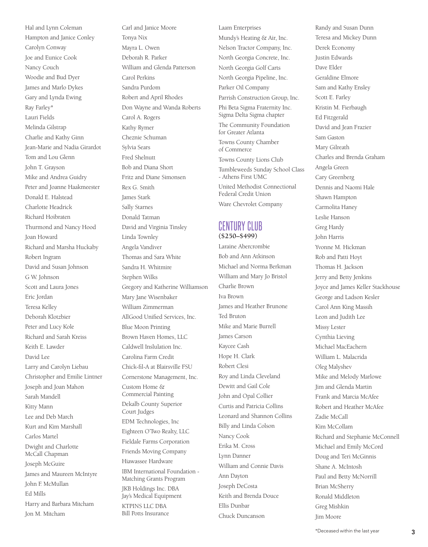Hal and Lynn Coleman Hampton and Janice Conley Carolyn Conway Joe and Eunice Cook Nancy Couch Woodie and Bud Dyer James and Marlo Dykes Gary and Lynda Ewing Ray Farley\* Lauri Fields Melinda Gilstrap Charlie and Kathy Ginn Jean-Marie and Nadia Girardot Tom and Lou Glenn John T. Grayson Mike and Andrea Guidry Peter and Joanne Haakmeester Donald E. Halstead Charlotte Headrick Richard Hoibraten Thurmond and Nancy Hood Joan Howard Richard and Marsha Huckaby Robert Ingram David and Susan Johnson G W. Johnson Scott and Laura Jones Eric Jordan Teresa Kelley Deborah Klotzbier Peter and Lucy Kole Richard and Sarah Kreiss Keith E. Lawder David Lee Larry and Carolyn Liebau Christopher and Emilie Lintner Joseph and Joan Mahon Sarah Mandell Kitty Mann Lee and Deb March Kurt and Kim Marshall Carlos Martel Dwight and Charlotte McCall Chapman Joseph McGuire James and Maureen McIntyre John F. McMullan Ed Mills Harry and Barbara Mitcham Jon M. Mitcham

Carl and Janice Moore Tonya Nix Mayra L. Owen Deborah R. Parker William and Glenda Patterson Carol Perkins Sandra Purdom Robert and April Rhodes Don Wayne and Wanda Roberts Carol A. Rogers Kathy Rymer Cheznie Schuman Sylvia Sears Fred Shelnutt Bob and Diana Short Fritz and Diane Simonsen Rex G. Smith James Stark Sally Starnes Donald Tatman David and Virginia Tinsley Linda Townley Angela Vandiver Thomas and Sara White Sandra H. Whitmire Stephen Wilks Gregory and Katherine Williamson Mary Jane Wisenbaker William Zimmerman AllGood Unified Services, Inc. Blue Moon Printing Brown Haven Homes, LLC Caldwell Inslulation Inc. Carolina Farm Credit Chick-fil-A at Blairsville FSU Cornerstone Management, Inc. Custom Home & Commercial Painting Dekalb County Superior Court Judges EDM Technologies, Inc Eighteen O'Two Realty, LLC Fieldale Farms Corporation Friends Moving Company Hiawassee Hardware IBM International Foundation - Matching Grants Program JKB Holdings Inc. DBA Jay's Medical Equipment KTPINS LLC DBA Bill Potts Insurance

## Laam Enterprises Mundy's Heating & Air, Inc. Nelson Tractor Company, Inc. North Georgia Concrete, Inc. North Georgia Golf Carts North Georgia Pipeline, Inc. Parker Oil Company Parrish Construction Group, Inc. Phi Beta Sigma Fraternity Inc. Sigma Delta Sigma chapter The Community Foundation for Greater Atlanta Towns County Chamber of Commerce Towns County Lions Club Tumbleweeds Sunday School Class - Athens First UMC United Methodist Connectional Federal Credit Union Ware Chevrolet Company CENTURY CLUB **(\$250–\$499)**

Laraine Abercrombie Bob and Ann Atkinson Michael and Norma Berkman William and Mary Jo Bristol Charlie Brown Iva Brown James and Heather Brunone Ted Bruton Mike and Marie Burrell James Carson Kaycee Cash Hope H. Clark Robert Clesi Roy and Linda Cleveland Dewitt and Gail Cole John and Opal Collier Curtis and Patricia Collins Leonard and Shannon Collins Billy and Linda Colson Nancy Cook Erika M. Cross Lynn Danner William and Connie Davis Ann Dayton Joseph DeCosta Keith and Brenda Douce Ellis Dunbar Chuck Duncanson

Randy and Susan Dunn Teresa and Mickey Dunn Derek Economy Justin Edwards Dave Elder Geraldine Elmore Sam and Kathy Ensley Scott E. Farley Kristin M. Fierbaugh Ed Fitzgerald David and Jean Frazier Sam Gaston Mary Gilreath Charles and Brenda Graham Angela Green Cary Greenberg Dennis and Naomi Hale Shawn Hampton Carmolita Haney Leslie Hanson Greg Hardy John Harris Yvonne M. Hickman Rob and Patti Hoyt Thomas H. Jackson Jerry and Betty Jenkins Joyce and James Keller Stackhouse George and Ladson Kesler Carol Ann King Massih Leon and Judith Lee Missy Lester Cynthia Lieving Michael MacEachern William L. Malacrida Oleg Malyshev Mike and Melody Marlowe Jim and Glenda Martin Frank and Marcia McAfee Robert and Heather McAfee Zadie McCall Kim McCollam Richard and Stephanie McConnell Michael and Emily McCord Doug and Teri McGinnis Shane A. McIntosh Paul and Betty McNorrill Brian McSherry Ronald Middleton Greg Mishkin Jim Moore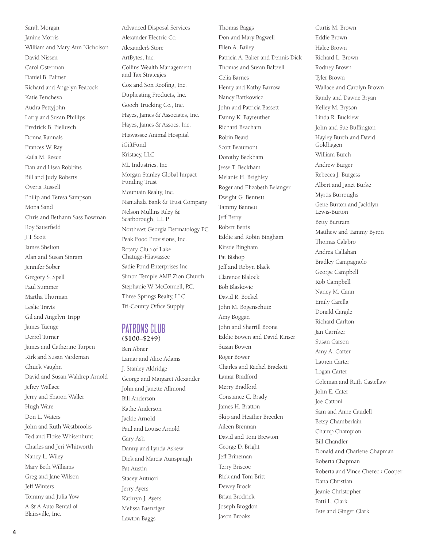Sarah Morgan Janine Morris William and Mary Ann Nicholson David Nissen Carol Osterman Daniel B. Palmer Richard and Angelyn Peacock Katie Pencheva Audra Pettyjohn Larry and Susan Phillips Fredrick B. Piellusch Donna Rannals Frances W. Ray Kaila M. Reece Dan and Lisea Robbins Bill and Judy Roberts Overia Russell Philip and Teresa Sampson Mona Sand Chris and Bethann Sass Bowman Roy Satterfield J T Scott James Shelton Alan and Susan Sinram Jennifer Sober Gregory S. Spell Paul Summer Martha Thurman Leslie Travis Gil and Angelyn Tripp James Tuenge Derrol Turner James and Catherine Turpen Kirk and Susan Vardeman Chuck Vaughn David and Susan Waldrep Arnold Jefrey Wallace Jerry and Sharon Waller Hugh Ware Don L. Waters John and Ruth Westbrooks Ted and Eloise Whisenhunt Charles and Jeri Whitworth Nancy L. Wiley Mary Beth Williams Greg and Jane Wilson Jeff Winters Tommy and Julia Yow A & A Auto Rental of Blairsville, Inc.

Advanced Disposal Services Alexander Electric Co. Alexander's Store ArtBytes, Inc. Collins Wealth Management and Tax Strategies Cox and Son Roofing, Inc. Duplicating Products, Inc. Gooch Trucking Co., Inc. Hayes, James & Associates, Inc. Hayes, James & Assocs. Inc. Hiawassee Animal Hospital iGiftFund Kristacy, LLC ML Industries, Inc. Morgan Stanley Global Impact Funding Trust Mountain Realty, Inc. Nantahala Bank & Trust Company Nelson Mullins Riley & Scarborough, L.L.P Northeast Georgia Dermatology PC Peak Food Provisions, Inc. Rotary Club of Lake Chatuge-Hiawassee Sadie Pond Enterprises Inc Simon Temple AME Zion Church Stephanie W. McConnell, P.C. Three Springs Realty, LLC Tri-County Office Supply

#### PATRONS CLUB **(\$100–\$249)**

Ben Abner Lamar and Alice Adams J. Stanley Aldridge George and Margaret Alexander John and Janette Allmond Bill Anderson Kathe Anderson Jackie Arnold Paul and Louise Arnold Gary Ash Danny and Lynda Askew Dick and Marcia Aunspaugh Pat Austin Stacey Autuori Jerry Ayers Kathryn J. Ayers Melissa Baenziger Lawton Baggs

Thomas Baggs Don and Mary Bagwell Ellen A. Bailey Patricia A. Baker and Dennis Dick Thomas and Susan Baltzell Celia Barnes Henry and Kathy Barrow Nancy Bartkowicz John and Patricia Bassett Danny K. Bayreuther Richard Beacham Robin Beard Scott Beaumont Dorothy Beckham Jesse T. Beckham Melanie H. Beighley Roger and Elizabeth Belanger Dwight G. Bennett Tammy Bennett Jeff Berry Robert Bettis Eddie and Robin Bingham Kirstie Bingham Pat Bishop Jeff and Robyn Black Clarence Blalock Bob Blaskovic David R. Bockel John M. Bogenschutz Amy Boggan John and Sherrill Boone Eddie Bowen and David Kinser Susan Bowen Roger Bower Charles and Rachel Brackett Lamar Bradford Merry Bradford Constance C. Brady James H. Bratton Skip and Heather Breeden Aileen Brennan David and Toni Brewton George D. Bright Jeff Brineman Terry Briscoe Rick and Toni Britt Dewey Brock Brian Brodrick Joseph Brogdon Jason Brooks

Curtis M. Brown Eddie Brown Halee Brown Richard L. Brown Rodney Brown Tyler Brown Wallace and Carolyn Brown Randy and Dawne Bryan Kelley M. Bryson Linda R. Bucklew John and Sue Buffington Hayley Burch and David Goldhagen William Burch Andrew Burger Rebecca J. Burgess Albert and Janet Burke Myrtis Burroughs Gene Burton and Jackilyn Lewis-Burton Betty Burtram Matthew and Tammy Byron Thomas Calabro Andrea Callahan Bradley Campagnolo George Campbell Rob Campbell Nancy M. Cann Emily Carella Donald Cargile Richard Carlton Jan Carriker Susan Carson Amy A. Carter Lauren Carter Logan Carter Coleman and Ruth Castellaw John E. Cater Joe Cattoni Sam and Anne Caudell Betsy Chamberlain Champ Champion Bill Chandler Donald and Charlene Chapman Roberta Chapman Roberta and Vince Chereck Cooper Dana Christian Jeanie Christopher Patti L. Clark Pete and Ginger Clark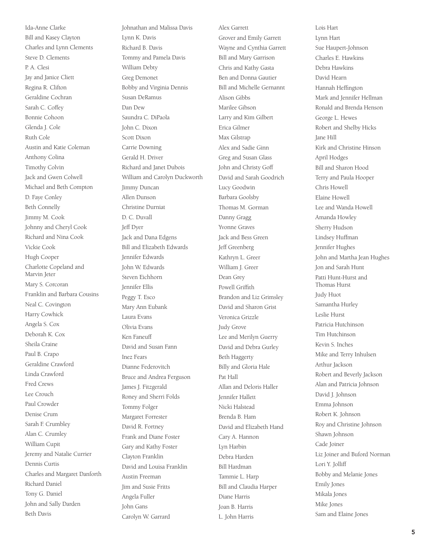Ida-Anne Clarke Bill and Kasey Clayton Charles and Lynn Clements Steve D. Clements P. A. Clesi Jay and Janice Cliett Regina R. Clifton Geraldine Cochran Sarah C. Coffey Bonnie Cohoon Glenda J. Cole Ruth Cole Austin and Katie Coleman Anthony Colina Timothy Colvin Jack and Gwen Colwell Michael and Beth Compton D. Faye Conley Beth Connelly Jimmy M. Cook Johnny and Cheryl Cook Richard and Nina Cook Vickie Cook Hugh Cooper Charlotte Copeland and Marvin Jeter Mary S. Corcoran Franklin and Barbara Cousins Neal C. Covington Harry Cowhick Angela S. Cox Deborah K. Cox Sheila Craine Paul B. Crapo Geraldine Crawford Linda Crawford Fred Crews Lee Crouch Paul Crowder Denise Crum Sarah F. Crumbley Alan C. Crumley William Cupit Jeremy and Natalie Currier Dennis Curtis Charles and Margaret Danforth Richard Daniel Tony G. Daniel John and Sally Darden Beth Davis

Johnathan and Malissa Davis Lynn K. Davis Richard B. Davis Tommy and Pamela Davis William Debty Greg Demonet Bobby and Virginia Dennis Susan DeRamus Dan Dew Saundra C. DiPaola John C. Dixon Scott Dixon Carrie Downing Gerald H. Driver Richard and Janet Dubois William and Carolyn Duckworth Jimmy Duncan Allen Dunson Christine Durniat D. C. Duvall Jeff Dyer Jack and Dana Edgens Bill and Elizabeth Edwards Jennifer Edwards John W. Edwards Steven Eichhorn Jennifer Ellis Peggy T. Esco Mary Ann Eubank Laura Evans Olivia Evans Ken Faneuff David and Susan Fann Inez Fears Dianne Federovitch Bruce and Andrea Ferguson James J. Fitzgerald Roney and Sherri Folds Tommy Folger Margaret Forrester David R. Fortney Frank and Diane Foster Gary and Kathy Foster Clayton Franklin David and Louisa Franklin Austin Freeman Jim and Susie Fritts Angela Fuller John Gans Carolyn W. Garrard

Alex Garrett

Grover and Emily Garrett Wayne and Cynthia Garrett Bill and Mary Garrison Chris and Kathy Gasta Ben and Donna Gautier Bill and Michelle Gernannt Alison Gibbs Marilee Gibson Larry and Kim Gilbert Erica Gilmer Max Gilstrap Alex and Sadie Ginn Greg and Susan Glass John and Christy Goff David and Sarah Goodrich Lucy Goodwin Barbara Goolsby Thomas M. Gorman Danny Gragg Yvonne Graves Jack and Bess Green Jeff Greenberg Kathryn L. Greer William J. Greer Dean Grey Powell Griffith Brandon and Liz Grimsley David and Sharon Grist Veronica Grizzle Judy Grove Lee and Merilyn Guerry David and Debra Gurley Beth Haggerty Billy and Gloria Hale Pat Hall Allan and Deloris Haller Jennifer Hallett Nicki Halstead Brenda B. Ham David and Elizabeth Hand Cary A. Hannon Lyn Harbin Debra Harden Bill Hardman Tammie L. Harp Bill and Claudia Harper Diane Harris Joan B. Harris L. John Harris

Lois Hart Lynn Hart Sue Haupert-Johnson Charles E. Hawkins Debra Hawkins David Hearn Hannah Heffington Mark and Jennifer Hellman Ronald and Brenda Henson George L. Hewes Robert and Shelby Hicks Jane Hill Kirk and Christine Hinson April Hodges Bill and Sharon Hood Terry and Paula Hooper Chris Howell Elaine Howell Lee and Wanda Howell Amanda Howley Sherry Hudson Lindsey Huffman Jennifer Hughes John and Martha Jean Hughes Jon and Sarah Hunt Patti Hunt-Hurst and Thomas Hurst Judy Huot Samantha Hurley Leslie Hurst Patricia Hutchinson Tim Hutchinson Kevin S. Inches Mike and Terry Inhulsen Arthur Jackson Robert and Beverly Jackson Alan and Patricia Johnson David J. Johnson Emma Johnson Robert K. Johnson Roy and Christine Johnson Shawn Johnson Cade Joiner Liz Joiner and Buford Norman Lori Y. Jolliff Bobby and Melanie Jones Emily Jones Mikala Jones Mike Jones Sam and Elaine Jones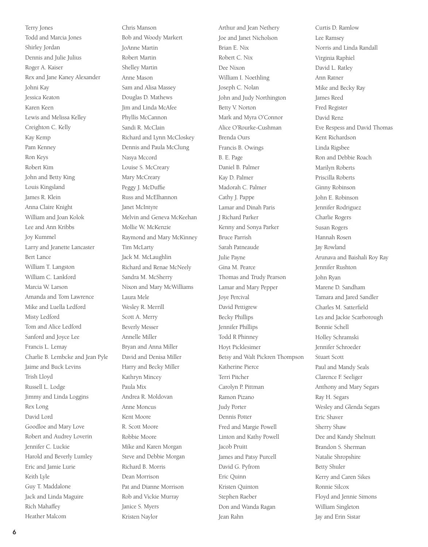Terry Jones Todd and Marcia Jones Shirley Jordan Dennis and Julie Julius Roger A. Kaiser Rex and Jane Kaney Alexander Johni Kay Jessica Keaton Karen Keen Lewis and Melissa Kelley Creighton C. Kelly Kay Kemp Pam Kenney Ron Keys Robert Kim John and Betty King Louis Kingsland James R. Klein Anna Claire Knight William and Joan Kolok Lee and Ann Kribbs Joy Kummel Larry and Jeanette Lancaster Bert Lance William T. Langston William C. Lankford Marcia W. Larson Amanda and Tom Lawrence Mike and Luella Ledford Misty Ledford Tom and Alice Ledford Sanford and Joyce Lee Francis L. Lemay Charlie B. Lembcke and Jean Pyle Jaime and Buck Levins Trish Lloyd Russell L. Lodge Jimmy and Linda Loggins Rex Long David Lord Goodloe and Mary Love Robert and Audrey Loverin Jennifer C. Luckie Harold and Beverly Lumley Eric and Jamie Lurie Keith Lyle Guy T. Maddalone Jack and Linda Maguire Rich Mahaffey Heather Malcom

Chris Manson Bob and Woody Markert JoAnne Martin Robert Martin Shelley Martin Anne Mason Sam and Alisa Massey Douglas D. Mathews Jim and Linda McAfee Phyllis McCannon Sandi R. McClain Richard and Lynn McCloskey Dennis and Paula McClung Nasya Mccord Louise S. McCreary Mary McCreary Peggy J. McDuffie Russ and McElhannon Janet McIntyre Melvin and Geneva McKeehan Mollie W. McKenzie Raymond and Mary McKinney Tim McLarty Jack M. McLaughlin Richard and Renae McNeely Sandra M. McSherry Nixon and Mary McWilliams Laura Mele Wesley R. Merrill Scott A. Merry Beverly Messer Annelle Miller Bryan and Anna Miller David and Denisa Miller Harry and Becky Miller Kathryn Mincey Paula Mix Andrea R. Moldovan Anne Moncus Kent Moore R. Scott Moore Robbie Moore Mike and Karen Morgan Steve and Debbie Morgan Richard B. Morris Dean Morrison Pat and Dianne Morrison Rob and Vickie Murray Janice S. Myers Kristen Naylor

Arthur and Jean Nethery Joe and Janet Nicholson Brian E. Nix Robert C. Nix Dee Nixon William I. Noethling Joseph C. Nolan John and Judy Northington Betty V. Norton Mark and Myra O'Connor Alice O'Rourke-Cushman Brenda Ours Francis B. Owings B. E. Page Daniel B. Palmer Kay D. Palmer Madorah C. Palmer Cathy J. Pappe Lamar and Dinah Paris J Richard Parker Kenny and Sonya Parker Bruce Parrish Sarah Patneaude Julie Payne Gina M. Pearce Thomas and Trudy Pearson Lamar and Mary Pepper Joye Percival David Pettigrew Becky Phillips Jennifer Phillips Todd R Phinney Hoyt Picklesimer Betsy and Walt Pickren Thompson Katherine Pierce Terri Pitcher Carolyn P. Pittman Ramon Pizano Judy Porter Dennis Potter Fred and Margie Powell Linton and Kathy Powell Jacob Pruitt James and Patsy Purcell David G. Pyfrom Eric Quinn Kristen Quinton Stephen Raeber Don and Wanda Ragan Jean Rahn

Curtis D. Ramlow Lee Ramsey Norris and Linda Randall Virginia Raphiel David L. Ratley Ann Ratner Mike and Becky Ray James Reed Fred Register David Renz Eve Respess and David Thomas Kent Richardson Linda Rigsbee Ron and Debbie Roach Marilyn Roberts Priscilla Roberts Ginny Robinson John E. Robinson Jennifer Rodriguez Charlie Rogers Susan Rogers Hannah Rosen Jay Rowland Arunava and Baishali Roy Ray Jennifer Rushton John Ryan Marene D. Sandham Tamara and Jared Sandler Charles M. Satterfield Les and Jackie Scarborough Bonnie Schell Holley Schramski Jennifer Schroeder Stuart Scott Paul and Mandy Seals Clarence F. Seeliger Anthony and Mary Segars Ray H. Segars Wesley and Glenda Segars Eric Shaver Sherry Shaw Dee and Kandy Shelnutt Brandon S. Sherman Natalie Shropshire Betty Shuler Kerry and Caren Sikes Ronnie Silcox Floyd and Jennie Simons William Singleton Jay and Erin Sistar